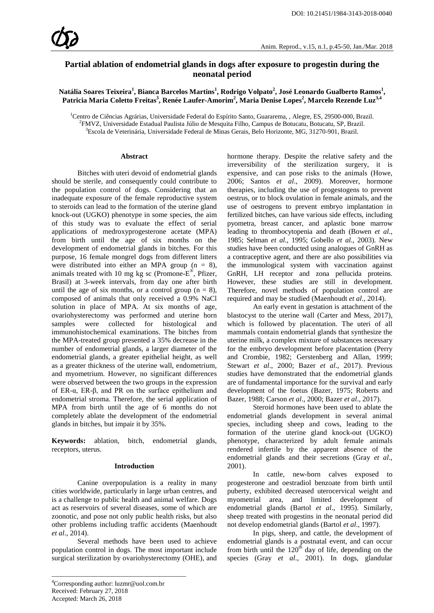# **Partial ablation of endometrial glands in dogs after exposure to progestin during the neonatal period**

**Natália Soares Teixeira<sup>1</sup> , Bianca Barcelos Martins1 , Rodrigo Volpato<sup>2</sup> , José Leonardo Gualberto Ramos1 , Patricia Maria Coletto Freitas3 , Renée Laufer-Amorim2 , Maria Denise Lopes2 , Marcelo Rezende Luz3,4**

<sup>1</sup>Centro de Ciências Agrárias, Universidade Federal do Espírito Santo, Guararema, , Alegre, ES, 29500-000, Brazil.<br><sup>2</sup>EMVZ, Universidade Estadual Paulista Iúlio de Mesquita Filho, Campus de Botucatu, Botucatu, SP, Brazil. <sup>2</sup>FMVZ, Universidade Estadual Paulista Júlio de Mesquita Filho, Campus de Botucatu, Botucatu, SP, Brazil. <sup>3</sup>Escola de Veterinária, Universidade Federal de Minas Gerais, Belo Horizonte, MG, 31270-901, Brazil.

#### **Abstract**

Bitches with uteri devoid of endometrial glands should be sterile, and consequently could contribute to the population control of dogs. Considering that an inadequate exposure of the female reproductive system to steroids can lead to the formation of the uterine gland knock-out (UGKO) phenotype in some species, the aim of this study was to evaluate the effect of serial applications of medroxyprogesterone acetate (MPA) from birth until the age of six months on the development of endometrial glands in bitches. For this purpose, 16 female mongrel dogs from different litters were distributed into either an MPA group  $(n = 8)$ , animals treated with 10 mg kg sc (Promone-E®, Pfizer, Brasil) at 3-week intervals, from day one after birth until the age of six months, or a control group  $(n = 8)$ , composed of animals that only received a 0.9% NaCl solution in place of MPA. At six months of age, ovariohysterectomy was performed and uterine horn were collected for histological and immunohistochemical examinations. The bitches from the MPA-treated group presented a 35% decrease in the number of endometrial glands, a larger diameter of the endometrial glands, a greater epithelial height, as well as a greater thickness of the uterine wall, endometrium, and myometrium. However, no significant differences were observed between the two groups in the expression of ER-α, ER-β, and PR on the surface epithelium and endometrial stroma. Therefore, the serial application of MPA from birth until the age of 6 months do not completely ablate the development of the endometrial glands in bitches, but impair it by 35%.

**Keywords:** ablation, bitch, endometrial glands, receptors, uterus.

#### **Introduction**

Canine overpopulation is a reality in many cities worldwide, particularly in large urban centres, and is a challenge to public health and animal welfare. Dogs act as reservoirs of several diseases, some of which are zoonotic, and pose not only public health risks, but also other problems including traffic accidents (Maenhoudt *et al*., 2014).

Several methods have been used to achieve population control in dogs. The most important include surgical sterilization by ovariohysterectomy (OHE), and

4 Corresponding author: luzmr@uol.com.br Received: February 27, 2018 Accepted: March 26, 2018

\_\_\_\_\_\_\_\_\_\_\_\_\_\_\_\_\_\_\_\_\_\_\_\_\_\_\_\_\_\_\_\_\_\_\_\_\_\_\_\_\_

hormone therapy. Despite the relative safety and the irreversibility of the sterilization surgery, it is expensive, and can pose risks to the animals (Howe, 2006; Santos *et al*., 2009). Moreover, hormone therapies, including the use of progestogens to prevent oestrus, or to block ovulation in female animals, and the use of oestrogens to prevent embryo implantation in fertilized bitches, can have various side effects, including pyometra, breast cancer, and aplastic bone marrow leading to thrombocytopenia and death (Bowen *et al*., 1985; Selman *et al*., 1995; Gobello *et al*., 2003). New studies have been conducted using analogues of GnRH as a contraceptive agent, and there are also possibilities via the immunological system with vaccination against GnRH, LH receptor and zona pellucida proteins. However, these studies are still in development. Therefore, novel methods of population control are required and may be studied (Maenhoudt *et al*., 2014).

An early event in gestation is attachment of the blastocyst to the uterine wall (Carter and Mess, 2017), which is followed by placentation. The uteri of all mammals contain endometrial glands that synthesize the uterine milk, a complex mixture of substances necessary for the embryo development before placentation (Perry and Crombie, 1982; Gerstenberg and Allan, 1999; Stewart *et al*., 2000; Bazer *et al*., 2017). Previous studies have demonstrated that the endometrial glands are of fundamental importance for the survival and early development of the foetus (Bazer, 1975; Roberts and Bazer, 1988; Carson *et al*., 2000; Bazer *et al*., 2017).

Steroid hormones have been used to ablate the endometrial glands development in several animal species, including sheep and cows, leading to the formation of the uterine gland knock-out (UGKO) phenotype, characterized by adult female animals rendered infertile by the apparent absence of the endometrial glands and their secretions (Gray *et al*., 2001).

In cattle, new-born calves exposed to progesterone and oestradiol benzoate from birth until puberty, exhibited decreased uterocervical weight and myometrial area, and limited development of endometrial glands (Bartol *et al*., 1995). Similarly, sheep treated with progestins in the neonatal period did not develop endometrial glands (Bartol *et al*., 1997).

In pigs, sheep, and cattle, the development of endometrial glands is a postnatal event, and can occur from birth until the  $120<sup>th</sup>$  day of life, depending on the species (Gray *et al*., 2001). In dogs, glandular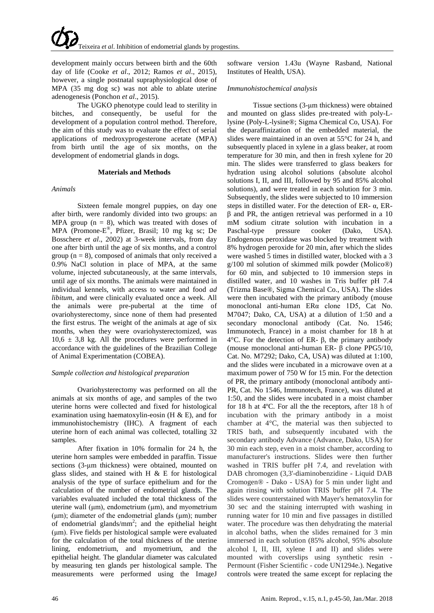development mainly occurs between birth and the 60th day of life (Cooke *et al*., 2012; Ramos *et al*., 2015), however, a single postnatal supraphysiological dose of MPA (35 mg dog sc) was not able to ablate uterine adenogenesis (Ponchon *et al*., 2015).

The UGKO phenotype could lead to sterility in bitches, and consequently, be useful for the development of a population control method. Therefore, the aim of this study was to evaluate the effect of serial applications of medroxyprogesterone acetate (MPA) from birth until the age of six months, on the development of endometrial glands in dogs.

#### **Materials and Methods**

## *Animals*

Sixteen female mongrel puppies, on day one after birth, were randomly divided into two groups: an MPA group  $(n = 8)$ , which was treated with doses of MPA (Promone-E®, Pfizer, Brasil; 10 mg kg sc; De Bosschere *et al*., 2002) at 3-week intervals, from day one after birth until the age of six months, and a control group  $(n = 8)$ , composed of animals that only received a 0.9% NaCl solution in place of MPA, at the same volume, injected subcutaneously, at the same intervals, until age of six months. The animals were maintained in individual kennels, with access to water and food *ad libitum*, and were clinically evaluated once a week. All the animals were pre-pubertal at the time of ovariohysterectomy, since none of them had presented the first estrus. The weight of the animals at age of six months, when they were ovariohysterectomized, was  $10,6 \pm 3,8$  kg. All the procedures were performed in accordance with the guidelines of the Brazilian College of Animal Experimentation (COBEA).

# *Sample collection and histological preparation*

Ovariohysterectomy was performed on all the animals at six months of age, and samples of the two uterine horns were collected and fixed for histological examination using haematoxylin-eosin (H & E), and for immunohistochemistry (IHC). A fragment of each uterine horn of each animal was collected, totalling 32 samples.

After fixation in 10% formalin for 24 h, the uterine horn samples were embedded in paraffin. Tissue sections (3-μm thickness) were obtained, mounted on glass slides, and stained with H  $\&$  E for histological analysis of the type of surface epithelium and for the calculation of the number of endometrial glands. The variables evaluated included the total thickness of the uterine wall (μm), endometrium (μm), and myometrium (μm); diameter of the endometrial glands (μm); number of endometrial glands/ $mm^2$ ; and the epithelial height (μm). Five fields per histological sample were evaluated for the calculation of the total thickness of the uterine lining, endometrium, and myometrium, and the epithelial height. The glandular diameter was calculated by measuring ten glands per histological sample. The measurements were performed using the ImageJ

software version 1.43u (Wayne Rasband, National Institutes of Health, USA).

# *Immunohistochemical analysis*

Tissue sections (3-μm thickness) were obtained and mounted on glass slides pre-treated with poly-Llysine (Poly-L-lysine®; Sigma Chemical Co, USA). For the deparaffinization of the embedded material, the slides were maintained in an oven at 55°C for 24 h, and subsequently placed in xylene in a glass beaker, at room temperature for 30 min, and then in fresh xylene for 20 min. The slides were transferred to glass beakers for hydration using alcohol solutions (absolute alcohol solutions I, II, and III, followed by 95 and 85% alcohol solutions), and were treated in each solution for 3 min. Subsequently, the slides were subjected to 10 immersion steps in distilled water. For the detection of ER- α, ERβ and PR, the antigen retrieval was performed in a 10 mM sodium citrate solution with incubation in a Paschal-type pressure cooker (Dako, USA). Endogenous peroxidase was blocked by treatment with 8% hydrogen peroxide for 20 min, after which the slides were washed 5 times in distilled water, blocked with a 3 g/100 ml solution of skimmed milk powder (Molico®) for 60 min, and subjected to 10 immersion steps in distilled water, and 10 washes in Tris buffer pH 7.4 (Trizma Base®, Sigma Chemical Co., USA). The slides were then incubated with the primary antibody (mouse monoclonal anti-human ERα clone 1D5, Cat No. M7047; Dako, CA, USA) at a dilution of 1:50 and a secondary monoclonal antibody (Cat. No. 1546; Immunotech, France) in a moist chamber for 18 h at 4°C. For the detection of ER- β, the primary antibody (mouse monoclonal anti-human ER- β clone PPG5/10, Cat. No. M7292; Dako, CA, USA) was diluted at 1:100, and the slides were incubated in a microwave oven at a maximum power of 750 W for 15 min. For the detection of PR, the primary antibody (monoclonal antibody anti-PR, Cat. No 1546, Immunotech, France), was diluted at 1:50, and the slides were incubated in a moist chamber for 18 h at 4ºC. For all the the receptors, after 18 h of incubation with the primary antibody in a moist chamber at 4°C, the material was then subjected to TRIS bath, and subsequently incubated with the secondary antibody Advance (Advance, Dako, USA) for 30 min each step, even in a moist chamber, according to manufacturer's instructions. Slides were then further washed in TRIS buffer pH 7.4, and revelation with DAB chromogen (3,3'-diaminobenzidine - Liquid DAB Cromogen® - Dako - USA) for 5 min under light and again rinsing with solution TRIS buffer pH 7.4. The slides were counterstained with Mayer's hematoxylin for 30 sec and the staining interrupted with washing in running water for 10 min and five passages in distilled water. The procedure was then dehydrating the material in alcohol baths, when the slides remained for 3 min immersed in each solution (85% alcohol, 95% absolute alcohol I, II, III, xylene I and II) and slides were mounted with coverslips using synthetic resin - Permount (Fisher Scientific - code UN1294e.). Negative controls were treated the same except for replacing the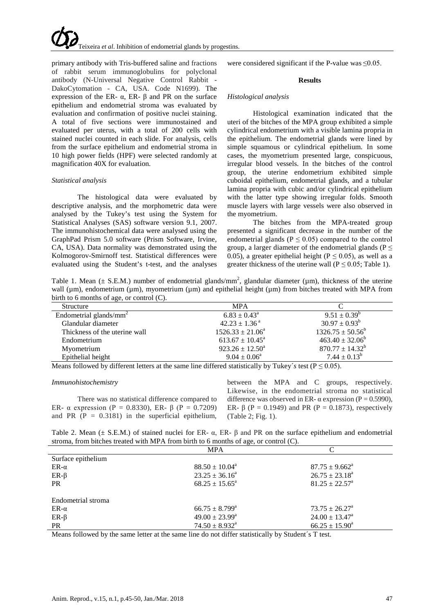

primary antibody with Tris-buffered saline and fractions of rabbit serum immunoglobulins for polyclonal antibody (N-Universal Negative Control Rabbit - DakoCytomation - CA, USA. Code N1699). The expression of the ER-  $\alpha$ , ER- β and PR on the surface epithelium and endometrial stroma was evaluated by evaluation and confirmation of positive nuclei staining. A total of five sections were immunostained and evaluated per uterus, with a total of 200 cells with stained nuclei counted in each slide. For analysis, cells from the surface epithelium and endometrial stroma in 10 high power fields (HPF) were selected randomly at magnification 40X for evaluation.

## *Statistical analysis*

The histological data were evaluated by descriptive analysis, and the morphometric data were analysed by the Tukey's test using the System for Statistical Analyses (SAS) software version 9.1, 2007. The immunohistochemical data were analysed using the GraphPad Prism 5.0 software (Prism Software, Irvine, CA, USA). Data normality was demonstrated using the Kolmogorov-Smirnoff test. Statistical differences were evaluated using the Student's t-test, and the analyses

were considered significant if the P-value was ≤0.05.

## **Results**

#### *Histological analysis*

Histological examination indicated that the uteri of the bitches of the MPA group exhibited a simple cylindrical endometrium with a visible lamina propria in the epithelium. The endometrial glands were lined by simple squamous or cylindrical epithelium. In some cases, the myometrium presented large, conspicuous, irregular blood vessels. In the bitches of the control group, the uterine endometrium exhibited simple cuboidal epithelium, endometrial glands, and a tubular lamina propria with cubic and/or cylindrical epithelium with the latter type showing irregular folds. Smooth muscle layers with large vessels were also observed in the myometrium.

The bitches from the MPA-treated group presented a significant decrease in the number of the endometrial glands ( $P \le 0.05$ ) compared to the control group, a larger diameter of the endometrial glands ( $P \leq$ 0.05), a greater epithelial height ( $P \le 0.05$ ), as well as a greater thickness of the uterine wall ( $P \le 0.05$ ; Table 1).

Table 1. Mean ( $\pm$  S.E.M.) number of endometrial glands/mm<sup>2</sup>, glandular diameter ( $\mu$ m), thickness of the uterine wall ( $\mu$ m), endometrium ( $\mu$ m), myometrium ( $\mu$ m) and epithelial height ( $\mu$ m) from bitches treated with MPA from birth to 6 months of age, or control (C).

| <b>MPA</b>                    |                       |
|-------------------------------|-----------------------|
| $6.83 \pm 0.43^{\circ}$       | $9.51 \pm 0.39^b$     |
| $42.23 \pm 1.36^{\text{a}}$   | $30.97 \pm 0.93^b$    |
| $1526.33 \pm 21.06^a$         | $1326.75 \pm 50.56^b$ |
| $613.67 \pm 10.45^{\text{a}}$ | $463.40 \pm 32.06^b$  |
| $923.26 \pm 12.50^a$          | $870.77 \pm 14.32^b$  |
| $9.04 \pm 0.06^a$             | $7.44 \pm 0.13^b$     |
|                               |                       |

Means followed by different letters at the same line differed statistically by Tukey's test ( $P \le 0.05$ ).

## *Immunohistochemistry*

There was no statistical difference compared to ER- α expression (P = 0.8330), ER- β (P = 0.7209) and PR  $(P = 0.3181)$  in the superficial epithelium,

between the MPA and C groups, respectively. Likewise, in the endometrial stroma no statistical difference was observed in ER-  $\alpha$  expression (P = 0.5990), ER-  $\beta$  (P = 0.1949) and PR (P = 0.1873), respectively (Table 2; Fig. 1).

Table 2. Mean ( $\pm$  S.E.M.) of stained nuclei for ER- $\alpha$ , ER- $\beta$  and PR on the surface epithelium and endometrial stroma, from bitches treated with MPA from birth to 6 months of age, or control (C).

|                    | <b>MPA</b>                   |                           |  |
|--------------------|------------------------------|---------------------------|--|
| Surface epithelium |                              |                           |  |
| $ER-\alpha$        | $88.50 \pm 10.04^{\text{a}}$ | $87.75 \pm 9.662^{\circ}$ |  |
| $ER-\beta$         | $23.25 \pm 36.16^a$          | $26.75 \pm 23.18^a$       |  |
| <b>PR</b>          | $68.25 \pm 15.65^a$          | $81.25 \pm 22.57^{\circ}$ |  |
|                    |                              |                           |  |
| Endometrial stroma |                              |                           |  |
| $ER-\alpha$        | $66.75 \pm 8.799^{\text{a}}$ | $73.75 \pm 26.27^{\circ}$ |  |
| $ER-\beta$         | $49.00 \pm 23.99^{\text{a}}$ | $24.00 \pm 13.47^{\circ}$ |  |
| <b>PR</b>          | $74.50 \pm 8.932^{\text{a}}$ | $66.25 \pm 15.90^a$       |  |

Means followed by the same letter at the same line do not differ statistically by Student´s T test.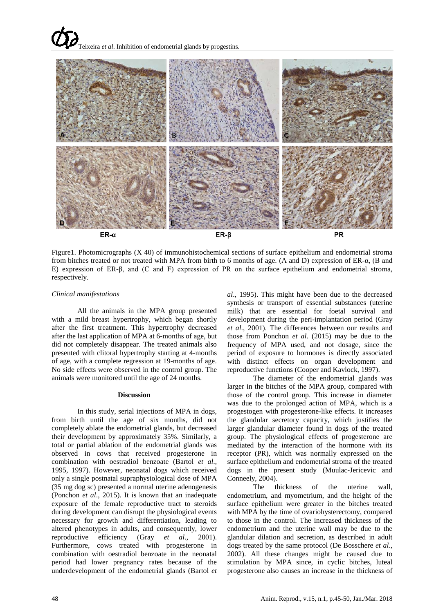

Figure1. Photomicrographs (X 40) of immunohistochemical sections of surface epithelium and endometrial stroma from bitches treated or not treated with MPA from birth to 6 months of age. (A and D) expression of ER-α, (B and E) expression of ER-β, and (C and F) expression of PR on the surface epithelium and endometrial stroma, respectively.

# *Clinical manifestations*

All the animals in the MPA group presented with a mild breast hypertrophy, which began shortly after the first treatment. This hypertrophy decreased after the last application of MPA at 6-months of age, but did not completely disappear. The treated animals also presented with clitoral hypertrophy starting at 4-months of age, with a complete regression at 19-months of age. No side effects were observed in the control group. The animals were monitored until the age of 24 months.

### **Discussion**

In this study, serial injections of MPA in dogs, from birth until the age of six months, did not completely ablate the endometrial glands, but decreased their development by approximately 35%. Similarly, a total or partial ablation of the endometrial glands was observed in cows that received progesterone in combination with oestradiol benzoate (Bartol *et al*., 1995, 1997). However, neonatal dogs which received only a single postnatal supraphysiological dose of MPA (35 mg dog sc) presented a normal uterine adenogenesis (Ponchon *et al*., 2015). It is known that an inadequate exposure of the female reproductive tract to steroids during development can disrupt the physiological events necessary for growth and differentiation, leading to altered phenotypes in adults, and consequently, lower reproductive efficiency (Gray *et al*., 2001). Furthermore, cows treated with progesterone in combination with oestradiol benzoate in the neonatal period had lower pregnancy rates because of the underdevelopment of the endometrial glands (Bartol *et* 

*al*., 1995). This might have been due to the decreased synthesis or transport of essential substances (uterine milk) that are essential for foetal survival and development during the peri-implantation period (Gray *et al*., 2001). The differences between our results and those from Ponchon *et al*. (2015) may be due to the frequency of MPA used, and not dosage, since the period of exposure to hormones is directly associated with distinct effects on organ development and reproductive functions (Cooper and Kavlock, 1997).

The diameter of the endometrial glands was larger in the bitches of the MPA group, compared with those of the control group. This increase in diameter was due to the prolonged action of MPA, which is a progestogen with progesterone-like effects. It increases the glandular secretory capacity, which justifies the larger glandular diameter found in dogs of the treated group. The physiological effects of progesterone are mediated by the interaction of the hormone with its receptor (PR), which was normally expressed on the surface epithelium and endometrial stroma of the treated dogs in the present study (Muulac-Jericevic and Conneely, 2004).

The thickness of the uterine wall, endometrium, and myometrium, and the height of the surface epithelium were greater in the bitches treated with MPA by the time of ovariohysterectomy, compared to those in the control. The increased thickness of the endometrium and the uterine wall may be due to the glandular dilation and secretion, as described in adult dogs treated by the same protocol (De Bosschere *et al*., 2002). All these changes might be caused due to stimulation by MPA since, in cyclic bitches, luteal progesterone also causes an increase in the thickness of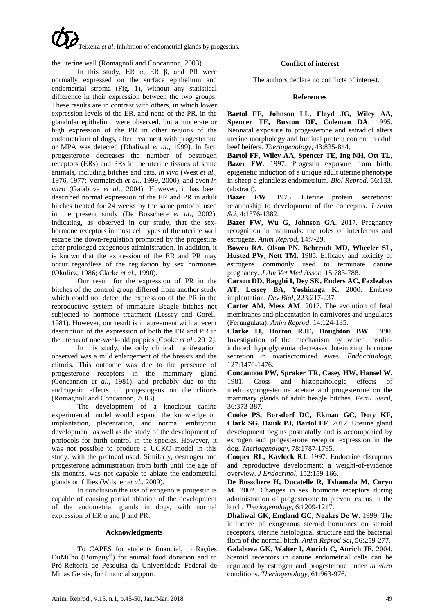the uterine wall (Romagnoli and Concannon, 2003).

In this study, ER  $\alpha$ , ER  $\beta$ , and PR were normally expressed on the surface epithelium and endometrial stroma (Fig. 1), without any statistical difference in their expression between the two groups. These results are in contrast with others, in which lower expression levels of the ER, and none of the PR, in the glandular epithelium were observed, but a moderate or high expression of the PR in other regions of the endometrium of dogs, after treatment with progesterone or MPA was detected (Dhaliwal *et al*., 1999). In fact, progesterone decreases the number of oestrogen receptors (ERs) and PRs in the uterine tissues of some animals, including bitches and cats, *in vivo* (West *et al*., 1976, 1977; Vermeirsch *et al*., 1999, 2000), and even *in vitro* (Galabova *et al*., 2004). However, it has been described normal expression of the ER and PR in adult bitches treated for 24 weeks by the same protocol used in the present study (De Bosschere *et al*., 2002), indicating, as observed in our study, that the sexhormone receptors in most cell types of the uterine wall escape the down-regulation promoted by the progestins after prolonged exogenous administration. In addition, it is known that the expression of the ER and PR may occur regardless of the regulation by sex hormones (Okulicz, 1986; Clarke *et al*., 1990).

Our result for the expression of PR in the bitches of the control group differed from another study which could not detect the expression of the PR in the reproductive system of immature Beagle bitches not subjected to hormone treatment (Lessey and Gorell, 1981). However, our result is in agreement with a recent description of the expression of both the ER and PR in the uterus of one-week-old puppies (Cooke *et al*., 2012).

In this study, the only clinical manifestation observed was a mild enlargement of the breasts and the clitoris. This outcome was due to the presence of progesterone receptors in the mammary gland (Concannon *et al*., 1981), and probably due to the androgenic effects of progestogens on the clitoris (Romagnoli and Concannon, 2003)

The development of a knockout canine experimental model would expand the knowledge on implantation, placentation, and normal embryonic development, as well as the study of the development of protocols for birth control in the species. However, it was not possible to produce a UGKO model in this study, with the protocol used. Similarly, oestrogen and progesterone administration from birth until the age of six months, was not capable to ablate the endometrial glands on fillies (Wilsher *et al*., 2009).

In conclusion,the use of exogenous progestin is capable of causing partial ablation of the development of the endometrial glands in dogs, with normal expression of ER  $\alpha$  and  $\beta$  and PR.

# **Acknowledgments**

To CAPES for students financial, to Rações DuMilho (Bomguy<sup>®</sup>) for animal food donation and to Pró-Reitoria de Pesquisa da Universidade Federal de Minas Gerais, for financial support.

# **Conflict of interest**

The authors declare no conflicts of interest.

## **References**

**Bartol FF, Johnson LL, Floyd JG, Wiley AA, Spencer TE, Buxton DF, Coleman DA**. 1995. Neonatal exposure to progesterone and estradiol alters uterine morphology and luminal protein content in adult beef heifers. *Theriogenology*, 43:835-844.

**Bartol FF, Wiley AA, Spencer TE, Ing NH, Ott TL, Bazer FW**. 1997. Progestin exposure from birth: epigenetic induction of a unique adult uterine phenotype in sheep a glandless endometrium. *Biol Reprod*, 56:133. (abstract).

**Bazer FW**. 1975. Uterine protein secretions: relationship to development of the conceptus. *J Anim Sci*, 4:1376-1382.

**Bazer FW, Wu G, Johnson GA**. 2017. Pregnancy recognition in mammals: the roles of interferons and estrogens. *Anim Reprod*, 14:7-29.

**Bowen RA, Olson PN, Behrendt MD, Wheeler SL, Husted PW, Nett TM**. 1985. Efficacy and toxicity of estrogens commonly used to terminate canine pregnancy. *J Am Vet Med Assoc*, 15:783-788.

**Carson DD, Bagghi I, Dey SK, Enders AC, Fazleabas AT, Lessey BA, Yoshinaga K**. 2000. Embryo implantation. *Dev Biol*, 223:217-237.

**Carter AM, Mess AM**. 2017. The evolution of fetal membranes and placentation in carnivores and ungulates (Ferungulata). *Anim Reprod*, 14:124-135.

**Clarke IJ, Horton RJE, Doughton BW**. 1990. Investigation of the mechanism by which insulininduced hypoglycemia decreases luteinizing hormone secretion in ovariectomized ewes. *Endocrinology*, 127:1470-1476.

**Concannon PW, Spraker TR, Casey HW, Hansel W**. 1981. Gross and histopathologic effects of medroxyprogesterone acetate and progesterone on the mammary glands of adult beagle bitches. *Fertil Steril*, 36:373-387.

**Cooke PS, Borsdorf DC, Ekman GC, Doty KF, Clark SG, Dziuk PJ, Bartol FF**. 2012. Uterine gland development begins postnatally and is accompanied by estrogen and progesterone receptor expression in the dog. *Theriogenology*, 78:1787-1795.

**Cooper RL, Kavlock RJ**. 1997. Endocrine disruptors and reproductive development: a weight-of-evidence overview. *J Endocrinol*, 152:159-166.

**De Bosschere H, Ducatelle R, Tshamala M, Coryn M**. 2002. Changes in sex hormone receptors during administration of progesterone to prevent estrus in the bitch. *Theriogenology*, 6:1209-1217.

**Dhaliwal GK, England GC, Noakes De W**. 1999. The influence of exogenous steroid hormones on steroid receptors, uterine histological structure and the bacterial flora of the normal bitch. *Anim Reprod Sci*, 56:259-277.

**Galabova GK, Walter I, Aurich C, Aurich JE.** 2004. Steroid receptors in canine endometrial cells can be regulated by estrogen and progesterone under *in vitro* conditions. *Theriogenology*, 61:963-976.